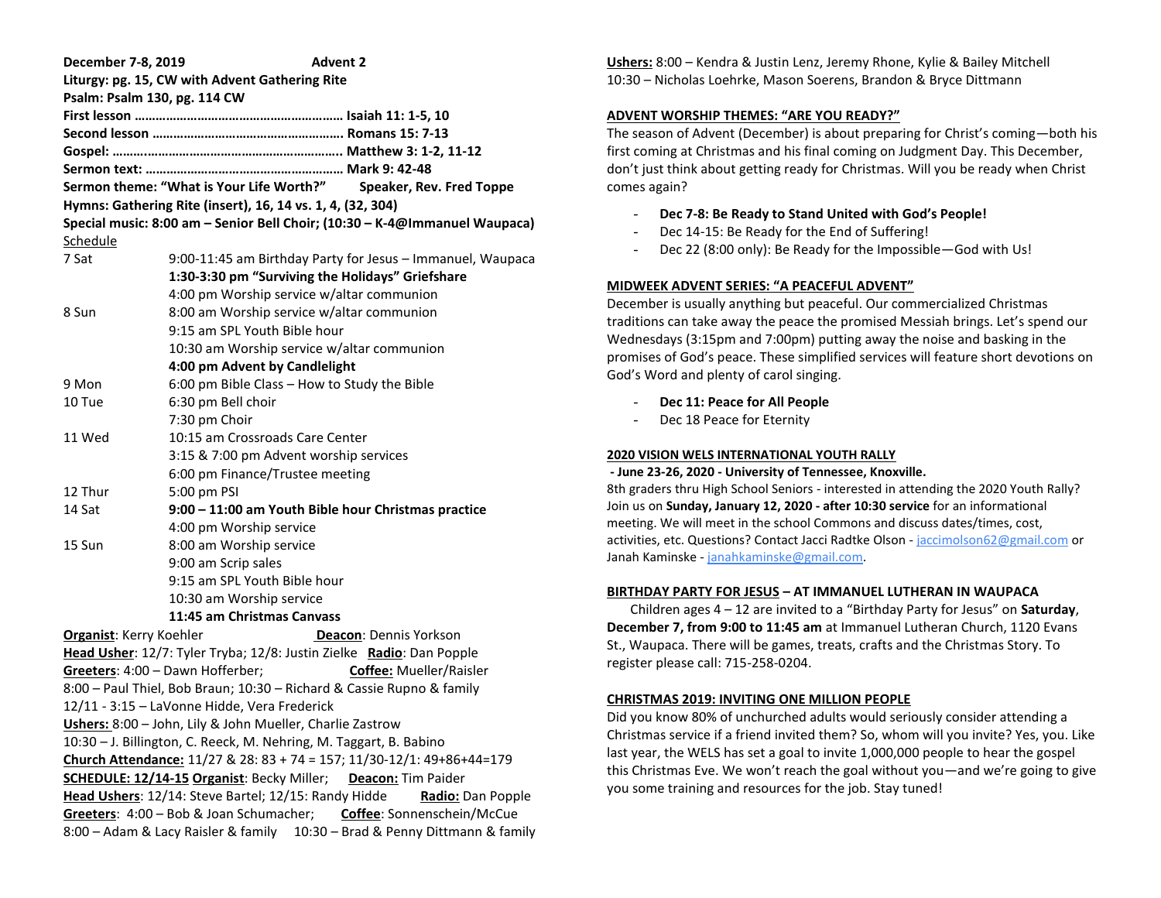| December 7-8, 2019             | <b>Advent 2</b>                                                            |
|--------------------------------|----------------------------------------------------------------------------|
|                                | Liturgy: pg. 15, CW with Advent Gathering Rite                             |
|                                | Psalm: Psalm 130, pg. 114 CW                                               |
|                                |                                                                            |
|                                |                                                                            |
|                                |                                                                            |
|                                |                                                                            |
|                                | Sermon theme: "What is Your Life Worth?"<br>Speaker, Rev. Fred Toppe       |
|                                | Hymns: Gathering Rite (insert), 16, 14 vs. 1, 4, (32, 304)                 |
|                                | Special music: 8:00 am - Senior Bell Choir; (10:30 - K-4@Immanuel Waupaca) |
| Schedule                       |                                                                            |
| 7 Sat                          | 9:00-11:45 am Birthday Party for Jesus - Immanuel, Waupaca                 |
|                                | 1:30-3:30 pm "Surviving the Holidays" Griefshare                           |
|                                | 4:00 pm Worship service w/altar communion                                  |
| 8 Sun                          | 8:00 am Worship service w/altar communion                                  |
|                                | 9:15 am SPL Youth Bible hour                                               |
|                                | 10:30 am Worship service w/altar communion                                 |
|                                | 4:00 pm Advent by Candlelight                                              |
| 9 Mon                          | 6:00 pm Bible Class - How to Study the Bible                               |
| 10 Tue                         | 6:30 pm Bell choir                                                         |
|                                | 7:30 pm Choir                                                              |
| 11 Wed                         | 10:15 am Crossroads Care Center                                            |
|                                | 3:15 & 7:00 pm Advent worship services                                     |
|                                | 6:00 pm Finance/Trustee meeting                                            |
| 12 Thur                        | 5:00 pm PSI                                                                |
| 14 Sat                         | 9:00 - 11:00 am Youth Bible hour Christmas practice                        |
|                                | 4:00 pm Worship service                                                    |
| 15 Sun                         | 8:00 am Worship service                                                    |
|                                | 9:00 am Scrip sales                                                        |
|                                | 9:15 am SPL Youth Bible hour                                               |
|                                | 10:30 am Worship service                                                   |
|                                | 11:45 am Christmas Canvass                                                 |
| <b>Organist:</b> Kerry Koehler | Deacon: Dennis Yorkson                                                     |
|                                | Head Usher: 12/7: Tyler Tryba; 12/8: Justin Zielke Radio: Dan Popple       |
|                                | Coffee: Mueller/Raisler<br>Greeters: 4:00 - Dawn Hofferber;                |
|                                | 8:00 - Paul Thiel, Bob Braun; 10:30 - Richard & Cassie Rupno & family      |
|                                | 12/11 - 3:15 - LaVonne Hidde, Vera Frederick                               |
|                                | Ushers: 8:00 - John, Lily & John Mueller, Charlie Zastrow                  |
|                                | 10:30 - J. Billington, C. Reeck, M. Nehring, M. Taggart, B. Babino         |
|                                | Church Attendance: 11/27 & 28: 83 + 74 = 157; 11/30-12/1: 49+86+44=179     |
|                                | <b>SCHEDULE: 12/14-15 Organist: Becky Miller;</b><br>Deacon: Tim Paider    |
|                                | Head Ushers: 12/14: Steve Bartel; 12/15: Randy Hidde<br>Radio: Dan Popple  |
|                                | Greeters: 4:00 - Bob & Joan Schumacher;<br>Coffee: Sonnenschein/McCue      |
|                                | 8:00 - Adam & Lacy Raisler & family 10:30 - Brad & Penny Dittmann & family |

**Ushers:** 8:00 – Kendra & Justin Lenz, Jeremy Rhone, Kylie & Bailey Mitchell 10:30 – Nicholas Loehrke, Mason Soerens, Brandon & Bryce Dittmann

## **ADVENT WORSHIP THEMES: "ARE YOU READY?"**

The season of Advent (December) is about preparing for Christ's coming—both his first coming at Christmas and his final coming on Judgment Day. This December, don't just think about getting ready for Christmas. Will you be ready when Christ comes again?

- **Dec 7-8: Be Ready to Stand United with God's People!**
- Dec 14-15: Be Ready for the End of Suffering!
- Dec 22 (8:00 only): Be Ready for the Impossible—God with Us!

## **MIDWEEK ADVENT SERIES: "A PEACEFUL ADVENT"**

December is usually anything but peaceful. Our commercialized Christmas traditions can take away the peace the promised Messiah brings. Let's spend our Wednesdays (3:15pm and 7:00pm) putting away the noise and basking in the promises of God's peace. These simplified services will feature short devotions on God's Word and plenty of carol singing.

- **Dec 11: Peace for All People**
- Dec 18 Peace for Eternity

### **2020 VISION WELS INTERNATIONAL YOUTH RALLY**

#### **- June 23-26, 2020 - University of Tennessee, Knoxville.**

8th graders thru High School Seniors - interested in attending the 2020 Youth Rally? Join us on **Sunday, January 12, 2020 - after 10:30 service** for an informational meeting. We will meet in the school Commons and discuss dates/times, cost, activities, etc. Questions? Contact Jacci Radtke Olson - [jaccimolson62@gmail.com](mailto:jaccimolson62@gmail.com) or Janah Kaminske - [janahkaminske@gmail.com.](mailto:janahkaminske@gmail.com)

# **BIRTHDAY PARTY FOR JESUS – AT IMMANUEL LUTHERAN IN WAUPACA**

 Children ages 4 – 12 are invited to a "Birthday Party for Jesus" on **Saturday**, **December 7, from 9:00 to 11:45 am** at Immanuel Lutheran Church, 1120 Evans St., Waupaca. There will be games, treats, crafts and the Christmas Story. To register please call: 715-258-0204.

# **CHRISTMAS 2019: INVITING ONE MILLION PEOPLE**

Did you know 80% of unchurched adults would seriously consider attending a Christmas service if a friend invited them? So, whom will you invite? Yes, you. Like last year, the WELS has set a goal to invite 1,000,000 people to hear the gospel this Christmas Eve. We won't reach the goal without you—and we're going to give you some training and resources for the job. Stay tuned!